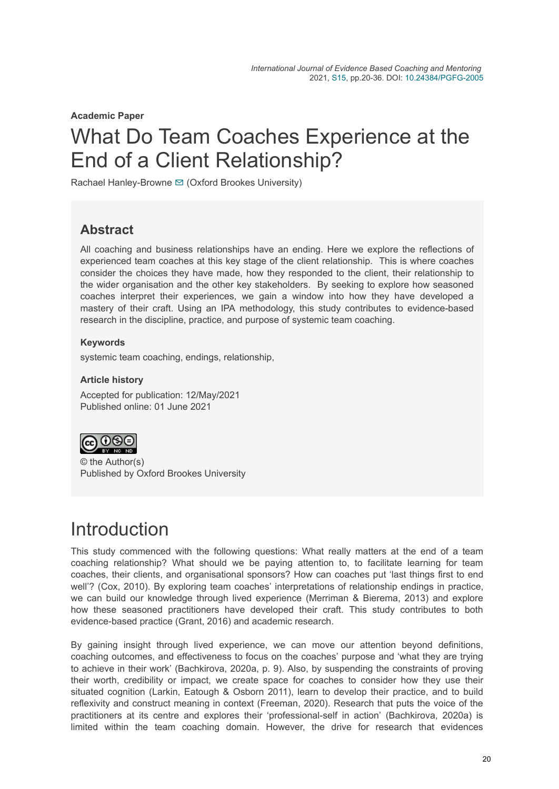**Academic Paper**

# What Do Team Coaches Experience at the End of a Client Relationship?

Rachael Hanley-Browne **□** (Oxford Brookes University)

### **Abstract**

All coaching and business relationships have an ending. Here we explore the reflections of experienced team coaches at this key stage of the client relationship. This is where coaches consider the choices they have made, how they responded to the client, their relationship to the wider organisation and the other key stakeholders. By seeking to explore how seasoned coaches interpret their experiences, we gain a window into how they have developed a mastery of their craft. Using an IPA methodology, this study contributes to evidence-based research in the discipline, practice, and purpose of systemic team coaching.

#### **Keywords**

systemic team coaching, endings, relationship,

#### **Article history**

Accepted for publication: 12/May/2021 Published online: 01 June 2021



© the Author(s) Published by Oxford Brookes University

## **Introduction**

This study commenced with the following questions: What really matters at the end of a team coaching relationship? What should we be paying attention to, to facilitate learning for team coaches, their clients, and organisational sponsors? How can coaches put 'last things first to end well'? (Cox, 2010). By exploring team coaches' interpretations of relationship endings in practice, we can build our knowledge through lived experience (Merriman & Bierema, 2013) and explore how these seasoned practitioners have developed their craft. This study contributes to both evidence-based practice (Grant, 2016) and academic research.

By gaining insight through lived experience, we can move our attention beyond definitions, coaching outcomes, and effectiveness to focus on the coaches' purpose and 'what they are trying to achieve in their work' (Bachkirova, 2020a, p. 9). Also, by suspending the constraints of proving their worth, credibility or impact, we create space for coaches to consider how they use their situated cognition (Larkin, Eatough & Osborn 2011), learn to develop their practice, and to build reflexivity and construct meaning in context (Freeman, 2020). Research that puts the voice of the practitioners at its centre and explores their 'professional-self in action' (Bachkirova, 2020a) is limited within the team coaching domain. However, the drive for research that evidences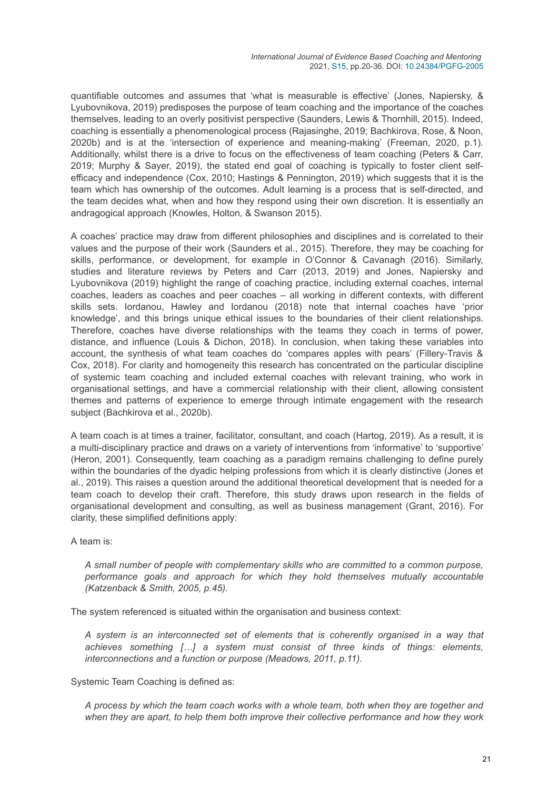quantifiable outcomes and assumes that 'what is measurable is effective' (Jones, Napiersky, & Lyubovnikova, 2019) predisposes the purpose of team coaching and the importance of the coaches themselves, leading to an overly positivist perspective (Saunders, Lewis & Thornhill, 2015). Indeed, coaching is essentially a phenomenological process (Rajasinghe, 2019; Bachkirova, Rose, & Noon, 2020b) and is at the 'intersection of experience and meaning-making' (Freeman, 2020, p.1). Additionally, whilst there is a drive to focus on the effectiveness of team coaching (Peters & Carr, 2019; Murphy & Sayer, 2019), the stated end goal of coaching is typically to foster client selfefficacy and independence (Cox, 2010; Hastings & Pennington, 2019) which suggests that it is the team which has ownership of the outcomes. Adult learning is a process that is self-directed, and the team decides what, when and how they respond using their own discretion. It is essentially an andragogical approach (Knowles, Holton, & Swanson 2015).

A coaches' practice may draw from different philosophies and disciplines and is correlated to their values and the purpose of their work (Saunders et al., 2015). Therefore, they may be coaching for skills, performance, or development, for example in O'Connor & Cavanagh (2016). Similarly, studies and literature reviews by Peters and Carr (2013, 2019) and Jones, Napiersky and Lyubovnikova (2019) highlight the range of coaching practice, including external coaches, internal coaches, leaders as coaches and peer coaches – all working in different contexts, with different skills sets. Iordanou, Hawley and Iordanou (2018) note that internal coaches have 'prior knowledge', and this brings unique ethical issues to the boundaries of their client relationships. Therefore, coaches have diverse relationships with the teams they coach in terms of power, distance, and influence (Louis & Dichon, 2018). In conclusion, when taking these variables into account, the synthesis of what team coaches do 'compares apples with pears' (Fillery-Travis & Cox, 2018). For clarity and homogeneity this research has concentrated on the particular discipline of systemic team coaching and included external coaches with relevant training, who work in organisational settings, and have a commercial relationship with their client, allowing consistent themes and patterns of experience to emerge through intimate engagement with the research subject (Bachkirova et al., 2020b).

A team coach is at times a trainer, facilitator, consultant, and coach (Hartog, 2019). As a result, it is a multi-disciplinary practice and draws on a variety of interventions from 'informative' to 'supportive' (Heron, 2001). Consequently, team coaching as a paradigm remains challenging to define purely within the boundaries of the dyadic helping professions from which it is clearly distinctive (Jones et al., 2019). This raises a question around the additional theoretical development that is needed for a team coach to develop their craft. Therefore, this study draws upon research in the fields of organisational development and consulting, as well as business management (Grant, 2016). For clarity, these simplified definitions apply:

#### A team is:

*A small number of people with complementary skills who are committed to a common purpose, performance goals and approach for which they hold themselves mutually accountable (Katzenback & Smith, 2005, p.45).*

The system referenced is situated within the organisation and business context:

*A system is an interconnected set of elements that is coherently organised in a way that achieves something […] a system must consist of three kinds of things: elements, interconnections and a function or purpose (Meadows, 2011, p.11).*

Systemic Team Coaching is defined as:

*A process by which the team coach works with a whole team, both when they are together and when they are apart, to help them both improve their collective performance and how they work*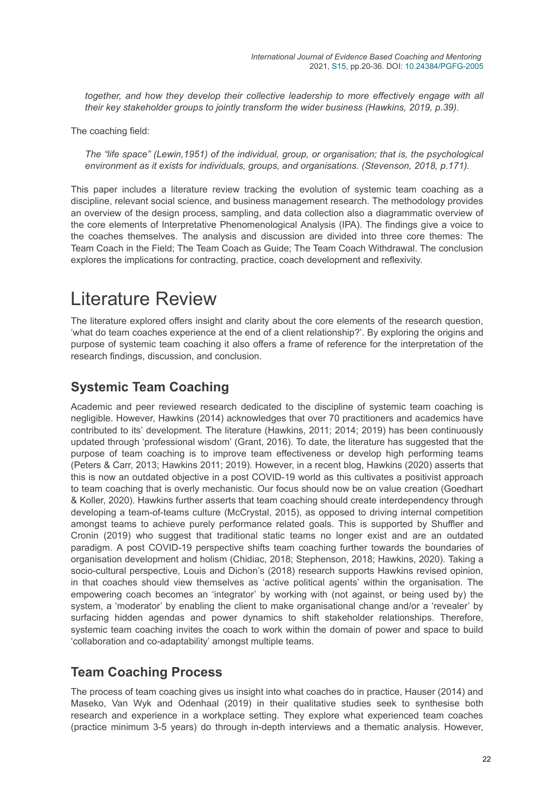*together, and how they develop their collective leadership to more effectively engage with all their key stakeholder groups to jointly transform the wider business (Hawkins, 2019, p.39).*

The coaching field:

*The "life space" (Lewin,1951) of the individual, group, or organisation; that is, the psychological environment as it exists for individuals, groups, and organisations. (Stevenson, 2018, p.171).*

This paper includes a literature review tracking the evolution of systemic team coaching as a discipline, relevant social science, and business management research. The methodology provides an overview of the design process, sampling, and data collection also a diagrammatic overview of the core elements of Interpretative Phenomenological Analysis (IPA). The findings give a voice to the coaches themselves. The analysis and discussion are divided into three core themes: The Team Coach in the Field; The Team Coach as Guide; The Team Coach Withdrawal. The conclusion explores the implications for contracting, practice, coach development and reflexivity.

## Literature Review

The literature explored offers insight and clarity about the core elements of the research question, 'what do team coaches experience at the end of a client relationship?'. By exploring the origins and purpose of systemic team coaching it also offers a frame of reference for the interpretation of the research findings, discussion, and conclusion.

### **Systemic Team Coaching**

Academic and peer reviewed research dedicated to the discipline of systemic team coaching is negligible. However, Hawkins (2014) acknowledges that over 70 practitioners and academics have contributed to its' development. The literature (Hawkins, 2011; 2014; 2019) has been continuously updated through 'professional wisdom' (Grant, 2016). To date, the literature has suggested that the purpose of team coaching is to improve team effectiveness or develop high performing teams (Peters & Carr, 2013; Hawkins 2011; 2019). However, in a recent blog, Hawkins (2020) asserts that this is now an outdated objective in a post COVID-19 world as this cultivates a positivist approach to team coaching that is overly mechanistic. Our focus should now be on value creation (Goedhart & Koller, 2020). Hawkins further asserts that team coaching should create interdependency through developing a team-of-teams culture (McCrystal, 2015), as opposed to driving internal competition amongst teams to achieve purely performance related goals. This is supported by Shuffler and Cronin (2019) who suggest that traditional static teams no longer exist and are an outdated paradigm. A post COVID-19 perspective shifts team coaching further towards the boundaries of organisation development and holism (Chidiac, 2018; Stephenson, 2018; Hawkins, 2020). Taking a socio-cultural perspective, Louis and Dichon's (2018) research supports Hawkins revised opinion, in that coaches should view themselves as 'active political agents' within the organisation. The empowering coach becomes an 'integrator' by working with (not against, or being used by) the system, a 'moderator' by enabling the client to make organisational change and/or a 'revealer' by surfacing hidden agendas and power dynamics to shift stakeholder relationships. Therefore, systemic team coaching invites the coach to work within the domain of power and space to build 'collaboration and co-adaptability' amongst multiple teams.

### **Team Coaching Process**

The process of team coaching gives us insight into what coaches do in practice, Hauser (2014) and Maseko, Van Wyk and Odenhaal (2019) in their qualitative studies seek to synthesise both research and experience in a workplace setting. They explore what experienced team coaches (practice minimum 3-5 years) do through in-depth interviews and a thematic analysis. However,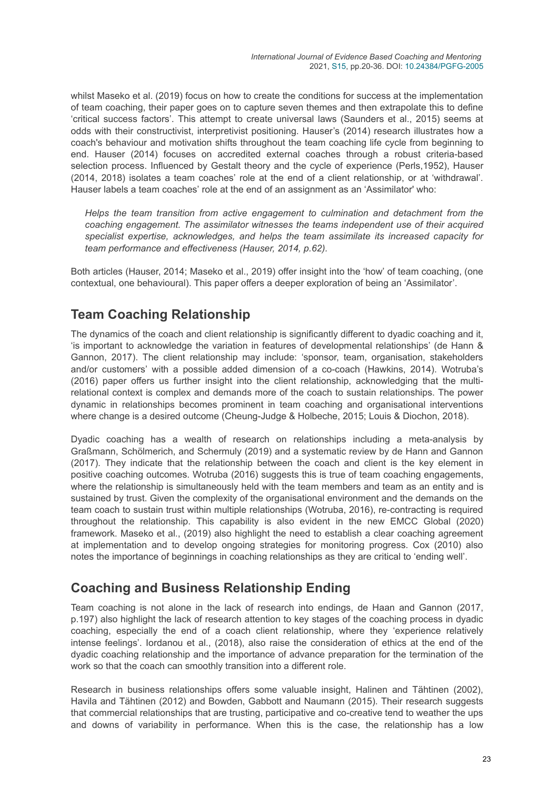whilst Maseko et al. (2019) focus on how to create the conditions for success at the implementation of team coaching, their paper goes on to capture seven themes and then extrapolate this to define 'critical success factors'. This attempt to create universal laws (Saunders et al., 2015) seems at odds with their constructivist, interpretivist positioning. Hauser's (2014) research illustrates how a coach's behaviour and motivation shifts throughout the team coaching life cycle from beginning to end. Hauser (2014) focuses on accredited external coaches through a robust criteria-based selection process. Influenced by Gestalt theory and the cycle of experience (Perls,1952), Hauser (2014, 2018) isolates a team coaches' role at the end of a client relationship, or at 'withdrawal'. Hauser labels a team coaches' role at the end of an assignment as an 'Assimilator' who:

*Helps the team transition from active engagement to culmination and detachment from the coaching engagement. The assimilator witnesses the teams independent use of their acquired specialist expertise, acknowledges, and helps the team assimilate its increased capacity for team performance and effectiveness (Hauser, 2014, p.62).*

Both articles (Hauser, 2014; Maseko et al., 2019) offer insight into the 'how' of team coaching, (one contextual, one behavioural). This paper offers a deeper exploration of being an 'Assimilator'.

## **Team Coaching Relationship**

The dynamics of the coach and client relationship is significantly different to dyadic coaching and it, 'is important to acknowledge the variation in features of developmental relationships' (de Hann & Gannon, 2017). The client relationship may include: 'sponsor, team, organisation, stakeholders and/or customers' with a possible added dimension of a co-coach (Hawkins, 2014). Wotruba's (2016) paper offers us further insight into the client relationship, acknowledging that the multirelational context is complex and demands more of the coach to sustain relationships. The power dynamic in relationships becomes prominent in team coaching and organisational interventions where change is a desired outcome (Cheung-Judge & Holbeche, 2015; Louis & Diochon, 2018).

Dyadic coaching has a wealth of research on relationships including a meta-analysis by Graßmann, Schölmerich, and Schermuly (2019) and a systematic review by de Hann and Gannon (2017). They indicate that the relationship between the coach and client is the key element in positive coaching outcomes. Wotruba (2016) suggests this is true of team coaching engagements, where the relationship is simultaneously held with the team members and team as an entity and is sustained by trust. Given the complexity of the organisational environment and the demands on the team coach to sustain trust within multiple relationships (Wotruba, 2016), re-contracting is required throughout the relationship. This capability is also evident in the new EMCC Global (2020) framework. Maseko et al., (2019) also highlight the need to establish a clear coaching agreement at implementation and to develop ongoing strategies for monitoring progress. Cox (2010) also notes the importance of beginnings in coaching relationships as they are critical to 'ending well'.

### **Coaching and Business Relationship Ending**

Team coaching is not alone in the lack of research into endings, de Haan and Gannon (2017, p.197) also highlight the lack of research attention to key stages of the coaching process in dyadic coaching, especially the end of a coach client relationship, where they 'experience relatively intense feelings'. Iordanou et al., (2018), also raise the consideration of ethics at the end of the dyadic coaching relationship and the importance of advance preparation for the termination of the work so that the coach can smoothly transition into a different role.

Research in business relationships offers some valuable insight, Halinen and Tähtinen (2002), Havila and Tähtinen (2012) and Bowden, Gabbott and Naumann (2015). Their research suggests that commercial relationships that are trusting, participative and co-creative tend to weather the ups and downs of variability in performance. When this is the case, the relationship has a low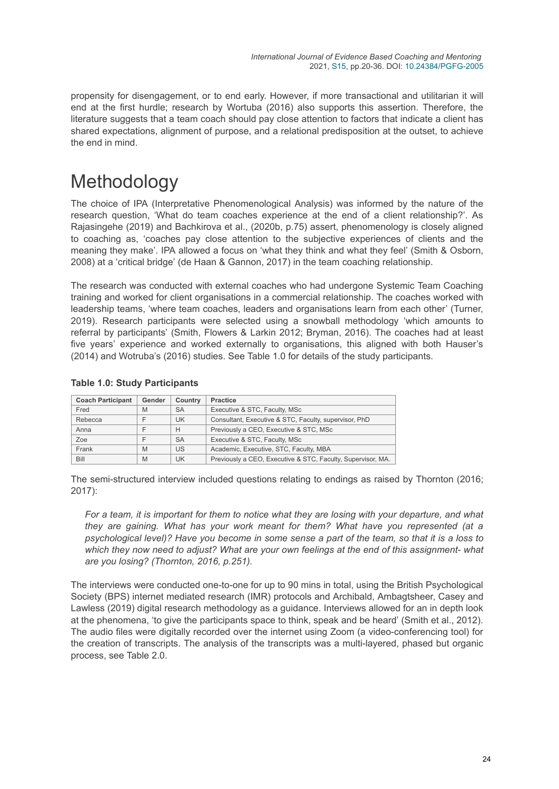propensity for disengagement, or to end early. However, if more transactional and utilitarian it will end at the first hurdle; research by Wortuba (2016) also supports this assertion. Therefore, the literature suggests that a team coach should pay close attention to factors that indicate a client has shared expectations, alignment of purpose, and a relational predisposition at the outset, to achieve the end in mind.

## Methodology

The choice of IPA (Interpretative Phenomenological Analysis) was informed by the nature of the research question, 'What do team coaches experience at the end of a client relationship?'. As Rajasingehe (2019) and Bachkirova et al., (2020b, p.75) assert, phenomenology is closely aligned to coaching as, 'coaches pay close attention to the subjective experiences of clients and the meaning they make'. IPA allowed a focus on 'what they think and what they feel' (Smith & Osborn, 2008) at a 'critical bridge' (de Haan & Gannon, 2017) in the team coaching relationship.

The research was conducted with external coaches who had undergone Systemic Team Coaching training and worked for client organisations in a commercial relationship. The coaches worked with leadership teams, 'where team coaches, leaders and organisations learn from each other' (Turner, 2019). Research participants were selected using a snowball methodology 'which amounts to referral by participants' (Smith, Flowers & Larkin 2012; Bryman, 2016). The coaches had at least five years' experience and worked externally to organisations, this aligned with both Hauser's (2014) and Wotruba's (2016) studies. See Table 1.0 for details of the study participants.

| <b>Table 1.0: Study Participants</b> |  |
|--------------------------------------|--|
|--------------------------------------|--|

| <b>Coach Participant</b> | Gender | <b>Practice</b><br>Country                                                                |                                                       |  |
|--------------------------|--------|-------------------------------------------------------------------------------------------|-------------------------------------------------------|--|
| Fred                     | M      | <b>SA</b>                                                                                 | Executive & STC, Faculty, MSc                         |  |
| Rebecca                  |        | UK                                                                                        | Consultant, Executive & STC, Faculty, supervisor, PhD |  |
| Anna                     |        | Previously a CEO, Executive & STC, MSc<br>H<br><b>SA</b><br>Executive & STC, Faculty, MSc |                                                       |  |
| Zoe                      |        |                                                                                           |                                                       |  |
| Frank                    | M      | US                                                                                        | Academic, Executive, STC, Faculty, MBA                |  |
| Bill                     | M      | Previously a CEO, Executive & STC, Faculty, Supervisor, MA.<br>UK                         |                                                       |  |

The semi-structured interview included questions relating to endings as raised by Thornton (2016; 2017):

*For a team, it is important for them to notice what they are losing with your departure, and what they are gaining. What has your work meant for them? What have you represented (at a psychological level)? Have you become in some sense a part of the team, so that it is a loss to which they now need to adjust? What are your own feelings at the end of this assignment- what are you losing? (Thornton, 2016, p.251).*

The interviews were conducted one-to-one for up to 90 mins in total, using the British Psychological Society (BPS) internet mediated research (IMR) protocols and Archibald, Ambagtsheer, Casey and Lawless (2019) digital research methodology as a guidance. Interviews allowed for an in depth look at the phenomena, 'to give the participants space to think, speak and be heard' (Smith et al., 2012). The audio files were digitally recorded over the internet using Zoom (a video-conferencing tool) for the creation of transcripts. The analysis of the transcripts was a multi-layered, phased but organic process, see Table 2.0.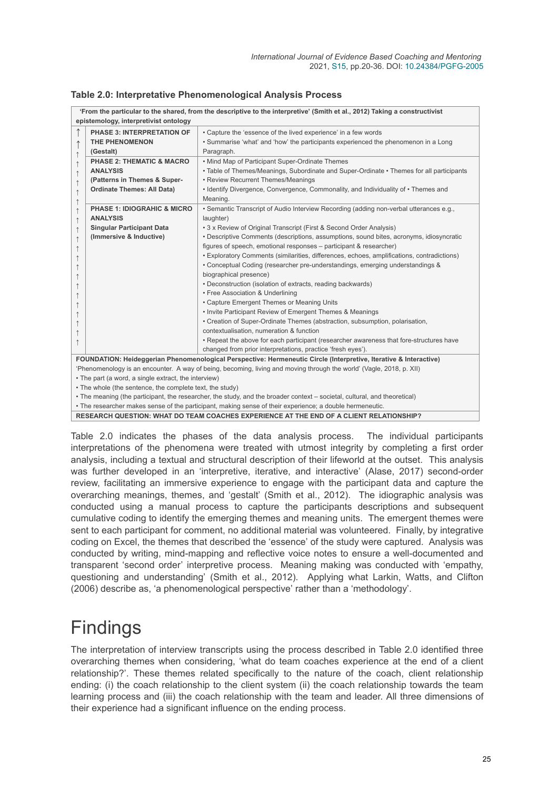| 'From the particular to the shared, from the descriptive to the interpretive' (Smith et al., 2012) Taking a constructivist<br>epistemology, interpretivist ontology |                                                                                                                           |                                                                                                                   |  |  |  |
|---------------------------------------------------------------------------------------------------------------------------------------------------------------------|---------------------------------------------------------------------------------------------------------------------------|-------------------------------------------------------------------------------------------------------------------|--|--|--|
|                                                                                                                                                                     | <b>PHASE 3: INTERPRETATION OF</b>                                                                                         | • Capture the 'essence of the lived experience' in a few words                                                    |  |  |  |
|                                                                                                                                                                     | <b>THE PHENOMENON</b>                                                                                                     | . Summarise 'what' and 'how' the participants experienced the phenomenon in a Long                                |  |  |  |
|                                                                                                                                                                     | (Gestalt)                                                                                                                 | Paragraph.                                                                                                        |  |  |  |
| $\uparrow$                                                                                                                                                          | <b>PHASE 2: THEMATIC &amp; MACRO</b>                                                                                      | • Mind Map of Participant Super-Ordinate Themes                                                                   |  |  |  |
| $\uparrow$                                                                                                                                                          | <b>ANALYSIS</b>                                                                                                           | • Table of Themes/Meanings, Subordinate and Super-Ordinate • Themes for all participants                          |  |  |  |
| $\uparrow$                                                                                                                                                          | (Patterns in Themes & Super-                                                                                              | • Review Recurrent Themes/Meanings                                                                                |  |  |  |
| $\uparrow$                                                                                                                                                          | <b>Ordinate Themes: All Data)</b>                                                                                         | • Identify Divergence, Convergence, Commonality, and Individuality of • Themes and                                |  |  |  |
| $\uparrow$                                                                                                                                                          |                                                                                                                           | Meaning.                                                                                                          |  |  |  |
| $\uparrow$                                                                                                                                                          | <b>PHASE 1: IDIOGRAHIC &amp; MICRO</b>                                                                                    | • Semantic Transcript of Audio Interview Recording (adding non-verbal utterances e.g.,                            |  |  |  |
| $\uparrow$                                                                                                                                                          | <b>ANALYSIS</b>                                                                                                           | laughter)                                                                                                         |  |  |  |
| $\uparrow$                                                                                                                                                          | <b>Singular Participant Data</b>                                                                                          | • 3 x Review of Original Transcript (First & Second Order Analysis)                                               |  |  |  |
| $\uparrow$                                                                                                                                                          | (Immersive & Inductive)                                                                                                   | • Descriptive Comments (descriptions, assumptions, sound bites, acronyms, idiosyncratic                           |  |  |  |
|                                                                                                                                                                     |                                                                                                                           | figures of speech, emotional responses – participant & researcher)                                                |  |  |  |
|                                                                                                                                                                     |                                                                                                                           | • Exploratory Comments (similarities, differences, echoes, amplifications, contradictions)                        |  |  |  |
|                                                                                                                                                                     |                                                                                                                           | • Conceptual Coding (researcher pre-understandings, emerging understandings &                                     |  |  |  |
|                                                                                                                                                                     |                                                                                                                           | biographical presence)                                                                                            |  |  |  |
|                                                                                                                                                                     |                                                                                                                           | • Deconstruction (isolation of extracts, reading backwards)                                                       |  |  |  |
|                                                                                                                                                                     |                                                                                                                           | • Free Association & Underlining                                                                                  |  |  |  |
|                                                                                                                                                                     |                                                                                                                           | • Capture Emergent Themes or Meaning Units                                                                        |  |  |  |
|                                                                                                                                                                     |                                                                                                                           | • Invite Participant Review of Emergent Themes & Meanings                                                         |  |  |  |
|                                                                                                                                                                     |                                                                                                                           | • Creation of Super-Ordinate Themes (abstraction, subsumption, polarisation,                                      |  |  |  |
|                                                                                                                                                                     |                                                                                                                           | contextualisation, numeration & function                                                                          |  |  |  |
|                                                                                                                                                                     |                                                                                                                           | • Repeat the above for each participant (researcher awareness that fore-structures have                           |  |  |  |
|                                                                                                                                                                     |                                                                                                                           | changed from prior interpretations, practice 'fresh eyes').                                                       |  |  |  |
|                                                                                                                                                                     |                                                                                                                           | FOUNDATION: Heideggerian Phenomenological Perspective: Hermeneutic Circle (Interpretive, Iterative & Interactive) |  |  |  |
| 'Phenomenology is an encounter. A way of being, becoming, living and moving through the world' (Vagle, 2018, p. XII)                                                |                                                                                                                           |                                                                                                                   |  |  |  |
| • The part (a word, a single extract, the interview)                                                                                                                |                                                                                                                           |                                                                                                                   |  |  |  |
|                                                                                                                                                                     | • The whole (the sentence, the complete text, the study)                                                                  |                                                                                                                   |  |  |  |
|                                                                                                                                                                     | . The meaning (the participant, the researcher, the study, and the broader context – societal, cultural, and theoretical) |                                                                                                                   |  |  |  |
|                                                                                                                                                                     | • The researcher makes sense of the participant making sense of their experience: a double hermeneutic                    |                                                                                                                   |  |  |  |

#### **Table 2.0: Interpretative Phenomenological Analysis Process**

• The researcher makes sense of the participant, making sense of their experience; a double hermeneutic.

**RESEARCH QUESTION: WHAT DO TEAM COACHES EXPERIENCE AT THE END OF A CLIENT RELATIONSHIP?**

Table 2.0 indicates the phases of the data analysis process. The individual participants interpretations of the phenomena were treated with utmost integrity by completing a first order analysis, including a textual and structural description of their lifeworld at the outset. This analysis was further developed in an 'interpretive, iterative, and interactive' (Alase, 2017) second-order review, facilitating an immersive experience to engage with the participant data and capture the overarching meanings, themes, and 'gestalt' (Smith et al., 2012). The idiographic analysis was conducted using a manual process to capture the participants descriptions and subsequent cumulative coding to identify the emerging themes and meaning units. The emergent themes were sent to each participant for comment, no additional material was volunteered. Finally, by integrative coding on Excel, the themes that described the 'essence' of the study were captured. Analysis was conducted by writing, mind-mapping and reflective voice notes to ensure a well-documented and transparent 'second order' interpretive process. Meaning making was conducted with 'empathy, questioning and understanding' (Smith et al., 2012). Applying what Larkin, Watts, and Clifton (2006) describe as, 'a phenomenological perspective' rather than a 'methodology'.

## Findings

The interpretation of interview transcripts using the process described in Table 2.0 identified three overarching themes when considering, 'what do team coaches experience at the end of a client relationship?'. These themes related specifically to the nature of the coach, client relationship ending: (i) the coach relationship to the client system (ii) the coach relationship towards the team learning process and (iii) the coach relationship with the team and leader. All three dimensions of their experience had a significant influence on the ending process.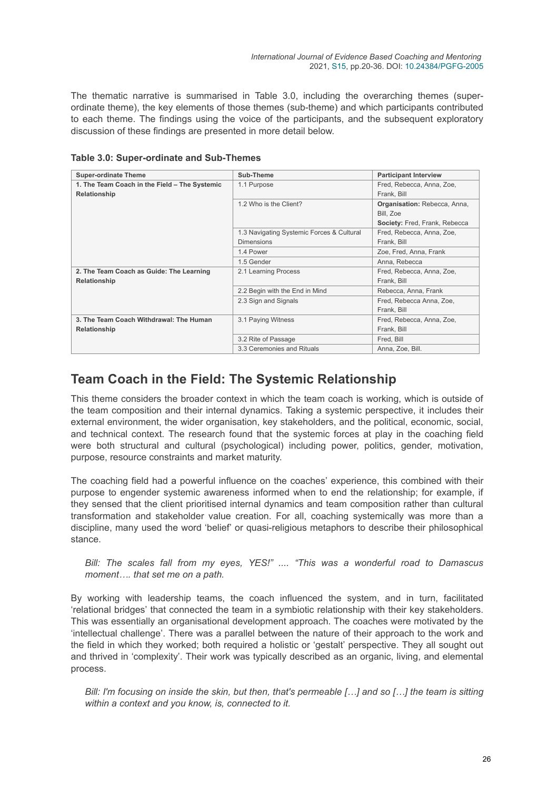The thematic narrative is summarised in Table 3.0, including the overarching themes (superordinate theme), the key elements of those themes (sub-theme) and which participants contributed to each theme. The findings using the voice of the participants, and the subsequent exploratory discussion of these findings are presented in more detail below.

| <b>Super-ordinate Theme</b>                   | Sub-Theme                                 | <b>Participant Interview</b>        |
|-----------------------------------------------|-------------------------------------------|-------------------------------------|
| 1. The Team Coach in the Field - The Systemic | 1.1 Purpose                               | Fred, Rebecca, Anna, Zoe,           |
| Relationship                                  |                                           | Frank, Bill                         |
|                                               | 1.2 Who is the Client?                    | <b>Organisation: Rebecca, Anna,</b> |
|                                               |                                           | Bill, Zoe                           |
|                                               |                                           | Society: Fred, Frank, Rebecca       |
|                                               | 1.3 Navigating Systemic Forces & Cultural | Fred, Rebecca, Anna, Zoe,           |
|                                               | <b>Dimensions</b>                         | Frank, Bill                         |
|                                               | 1.4 Power                                 | Zoe, Fred, Anna, Frank              |
|                                               | 1.5 Gender                                | Anna, Rebecca                       |
| 2. The Team Coach as Guide: The Learning      | 2.1 Learning Process                      | Fred, Rebecca, Anna, Zoe,           |
| Relationship                                  |                                           | Frank, Bill                         |
|                                               | 2.2 Begin with the End in Mind            | Rebecca, Anna, Frank                |
|                                               | 2.3 Sign and Signals                      | Fred, Rebecca Anna, Zoe,            |
|                                               |                                           | Frank, Bill                         |
| 3. The Team Coach Withdrawal: The Human       | 3.1 Paying Witness                        | Fred, Rebecca, Anna, Zoe,           |
| Relationship                                  |                                           | Frank, Bill                         |
|                                               | 3.2 Rite of Passage                       | Fred, Bill                          |
|                                               | 3.3 Ceremonies and Rituals                | Anna, Zoe, Bill.                    |

**Table 3.0: Super-ordinate and Sub-Themes**

### **Team Coach in the Field: The Systemic Relationship**

This theme considers the broader context in which the team coach is working, which is outside of the team composition and their internal dynamics. Taking a systemic perspective, it includes their external environment, the wider organisation, key stakeholders, and the political, economic, social, and technical context. The research found that the systemic forces at play in the coaching field were both structural and cultural (psychological) including power, politics, gender, motivation, purpose, resource constraints and market maturity.

The coaching field had a powerful influence on the coaches' experience, this combined with their purpose to engender systemic awareness informed when to end the relationship; for example, if they sensed that the client prioritised internal dynamics and team composition rather than cultural transformation and stakeholder value creation. For all, coaching systemically was more than a discipline, many used the word 'belief' or quasi-religious metaphors to describe their philosophical stance.

*Bill: The scales fall from my eyes, YES!" .... "This was a wonderful road to Damascus moment…. that set me on a path.*

By working with leadership teams, the coach influenced the system, and in turn, facilitated 'relational bridges' that connected the team in a symbiotic relationship with their key stakeholders. This was essentially an organisational development approach. The coaches were motivated by the 'intellectual challenge'. There was a parallel between the nature of their approach to the work and the field in which they worked; both required a holistic or 'gestalt' perspective. They all sought out and thrived in 'complexity'. Their work was typically described as an organic, living, and elemental process.

*Bill: I'm focusing on inside the skin, but then, that's permeable […] and so […] the team is sitting within a context and you know, is, connected to it.*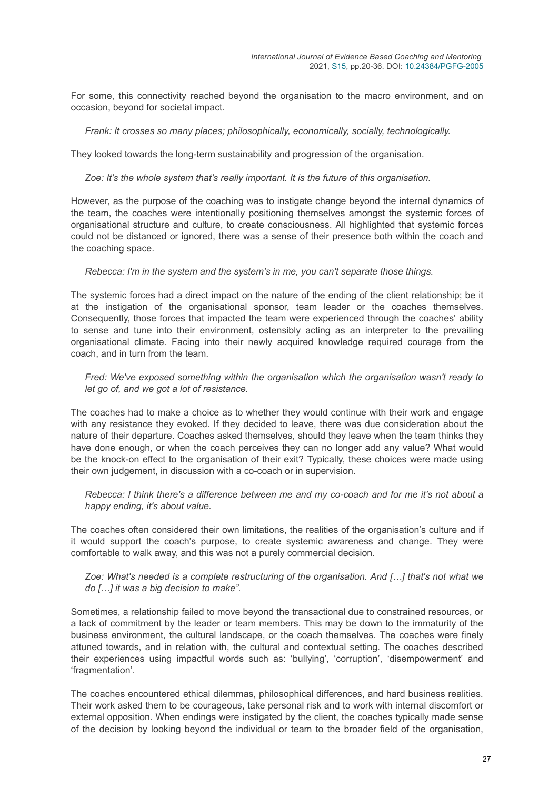For some, this connectivity reached beyond the organisation to the macro environment, and on occasion, beyond for societal impact.

#### *Frank: It crosses so many places; philosophically, economically, socially, technologically.*

They looked towards the long-term sustainability and progression of the organisation.

#### *Zoe: It's the whole system that's really important. It is the future of this organisation.*

However, as the purpose of the coaching was to instigate change beyond the internal dynamics of the team, the coaches were intentionally positioning themselves amongst the systemic forces of organisational structure and culture, to create consciousness. All highlighted that systemic forces could not be distanced or ignored, there was a sense of their presence both within the coach and the coaching space.

#### *Rebecca: I'm in the system and the system's in me, you can't separate those things.*

The systemic forces had a direct impact on the nature of the ending of the client relationship; be it at the instigation of the organisational sponsor, team leader or the coaches themselves. Consequently, those forces that impacted the team were experienced through the coaches' ability to sense and tune into their environment, ostensibly acting as an interpreter to the prevailing organisational climate. Facing into their newly acquired knowledge required courage from the coach, and in turn from the team.

#### *Fred: We've exposed something within the organisation which the organisation wasn't ready to let go of, and we got a lot of resistance.*

The coaches had to make a choice as to whether they would continue with their work and engage with any resistance they evoked. If they decided to leave, there was due consideration about the nature of their departure. Coaches asked themselves, should they leave when the team thinks they have done enough, or when the coach perceives they can no longer add any value? What would be the knock-on effect to the organisation of their exit? Typically, these choices were made using their own judgement, in discussion with a co-coach or in supervision.

*Rebecca: I think there's a difference between me and my co-coach and for me it's not about a happy ending, it's about value.*

The coaches often considered their own limitations, the realities of the organisation's culture and if it would support the coach's purpose, to create systemic awareness and change. They were comfortable to walk away, and this was not a purely commercial decision.

#### *Zoe: What's needed is a complete restructuring of the organisation. And […] that's not what we do […] it was a big decision to make".*

Sometimes, a relationship failed to move beyond the transactional due to constrained resources, or a lack of commitment by the leader or team members. This may be down to the immaturity of the business environment, the cultural landscape, or the coach themselves. The coaches were finely attuned towards, and in relation with, the cultural and contextual setting. The coaches described their experiences using impactful words such as: 'bullying', 'corruption', 'disempowerment' and 'fragmentation'.

The coaches encountered ethical dilemmas, philosophical differences, and hard business realities. Their work asked them to be courageous, take personal risk and to work with internal discomfort or external opposition. When endings were instigated by the client, the coaches typically made sense of the decision by looking beyond the individual or team to the broader field of the organisation,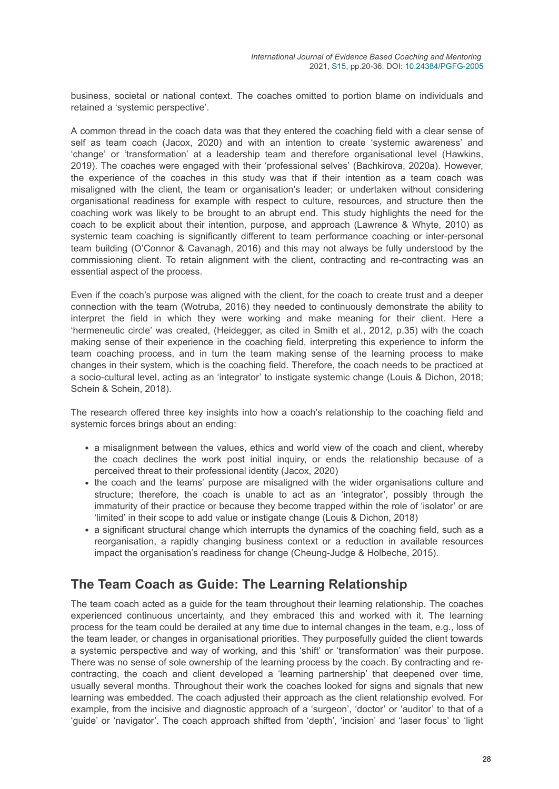business, societal or national context. The coaches omitted to portion blame on individuals and retained a 'systemic perspective'.

A common thread in the coach data was that they entered the coaching field with a clear sense of self as team coach (Jacox, 2020) and with an intention to create 'systemic awareness' and 'change' or 'transformation' at a leadership team and therefore organisational level (Hawkins, 2019). The coaches were engaged with their 'professional selves' (Bachkirova, 2020a). However, the experience of the coaches in this study was that if their intention as a team coach was misaligned with the client, the team or organisation's leader; or undertaken without considering organisational readiness for example with respect to culture, resources, and structure then the coaching work was likely to be brought to an abrupt end. This study highlights the need for the coach to be explicit about their intention, purpose, and approach (Lawrence & Whyte, 2010) as systemic team coaching is significantly different to team performance coaching or inter-personal team building (O'Connor & Cavanagh, 2016) and this may not always be fully understood by the commissioning client. To retain alignment with the client, contracting and re-contracting was an essential aspect of the process.

Even if the coach's purpose was aligned with the client, for the coach to create trust and a deeper connection with the team (Wotruba, 2016) they needed to continuously demonstrate the ability to interpret the field in which they were working and make meaning for their client. Here a 'hermeneutic circle' was created, (Heidegger, as cited in Smith et al., 2012, p.35) with the coach making sense of their experience in the coaching field, interpreting this experience to inform the team coaching process, and in turn the team making sense of the learning process to make changes in their system, which is the coaching field. Therefore, the coach needs to be practiced at a socio-cultural level, acting as an 'integrator' to instigate systemic change (Louis & Dichon, 2018; Schein & Schein, 2018).

The research offered three key insights into how a coach's relationship to the coaching field and systemic forces brings about an ending:

- a misalignment between the values, ethics and world view of the coach and client, whereby the coach declines the work post initial inquiry, or ends the relationship because of a perceived threat to their professional identity (Jacox, 2020)
- the coach and the teams' purpose are misaligned with the wider organisations culture and structure; therefore, the coach is unable to act as an 'integrator', possibly through the immaturity of their practice or because they become trapped within the role of 'isolator' or are 'limited' in their scope to add value or instigate change (Louis & Dichon, 2018)
- a significant structural change which interrupts the dynamics of the coaching field, such as a reorganisation, a rapidly changing business context or a reduction in available resources impact the organisation's readiness for change (Cheung-Judge & Holbeche, 2015).

### **The Team Coach as Guide: The Learning Relationship**

The team coach acted as a guide for the team throughout their learning relationship. The coaches experienced continuous uncertainty, and they embraced this and worked with it. The learning process for the team could be derailed at any time due to internal changes in the team, e.g., loss of the team leader, or changes in organisational priorities. They purposefully guided the client towards a systemic perspective and way of working, and this 'shift' or 'transformation' was their purpose. There was no sense of sole ownership of the learning process by the coach. By contracting and recontracting, the coach and client developed a 'learning partnership' that deepened over time, usually several months. Throughout their work the coaches looked for signs and signals that new learning was embedded. The coach adjusted their approach as the client relationship evolved. For example, from the incisive and diagnostic approach of a 'surgeon', 'doctor' or 'auditor' to that of a 'guide' or 'navigator'. The coach approach shifted from 'depth', 'incision' and 'laser focus' to 'light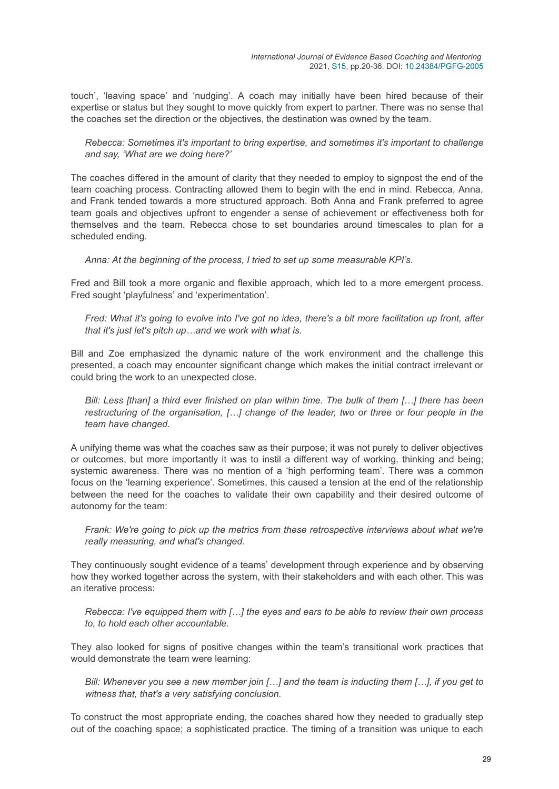touch', 'leaving space' and 'nudging'. A coach may initially have been hired because of their expertise or status but they sought to move quickly from expert to partner. There was no sense that the coaches set the direction or the objectives, the destination was owned by the team.

*Rebecca: Sometimes it's important to bring expertise, and sometimes it's important to challenge and say, 'What are we doing here?'*

The coaches differed in the amount of clarity that they needed to employ to signpost the end of the team coaching process. Contracting allowed them to begin with the end in mind. Rebecca, Anna, and Frank tended towards a more structured approach. Both Anna and Frank preferred to agree team goals and objectives upfront to engender a sense of achievement or effectiveness both for themselves and the team. Rebecca chose to set boundaries around timescales to plan for a scheduled ending.

*Anna: At the beginning of the process, I tried to set up some measurable KPI's.*

Fred and Bill took a more organic and flexible approach, which led to a more emergent process. Fred sought 'playfulness' and 'experimentation'.

*Fred: What it's going to evolve into I've got no idea, there's a bit more facilitation up front, after that it's just let's pitch up…and we work with what is.*

Bill and Zoe emphasized the dynamic nature of the work environment and the challenge this presented, a coach may encounter significant change which makes the initial contract irrelevant or could bring the work to an unexpected close.

*Bill: Less [than] a third ever finished on plan within time. The bulk of them […] there has been restructuring of the organisation, […] change of the leader, two or three or four people in the team have changed.*

A unifying theme was what the coaches saw as their purpose; it was not purely to deliver objectives or outcomes, but more importantly it was to instil a different way of working, thinking and being; systemic awareness. There was no mention of a 'high performing team'. There was a common focus on the 'learning experience'. Sometimes, this caused a tension at the end of the relationship between the need for the coaches to validate their own capability and their desired outcome of autonomy for the team:

*Frank: We're going to pick up the metrics from these retrospective interviews about what we're really measuring, and what's changed.*

They continuously sought evidence of a teams' development through experience and by observing how they worked together across the system, with their stakeholders and with each other. This was an iterative process:

*Rebecca: I've equipped them with […] the eyes and ears to be able to review their own process to, to hold each other accountable.*

They also looked for signs of positive changes within the team's transitional work practices that would demonstrate the team were learning:

*Bill: Whenever you see a new member join […] and the team is inducting them […], if you get to witness that, that's a very satisfying conclusion.*

To construct the most appropriate ending, the coaches shared how they needed to gradually step out of the coaching space; a sophisticated practice. The timing of a transition was unique to each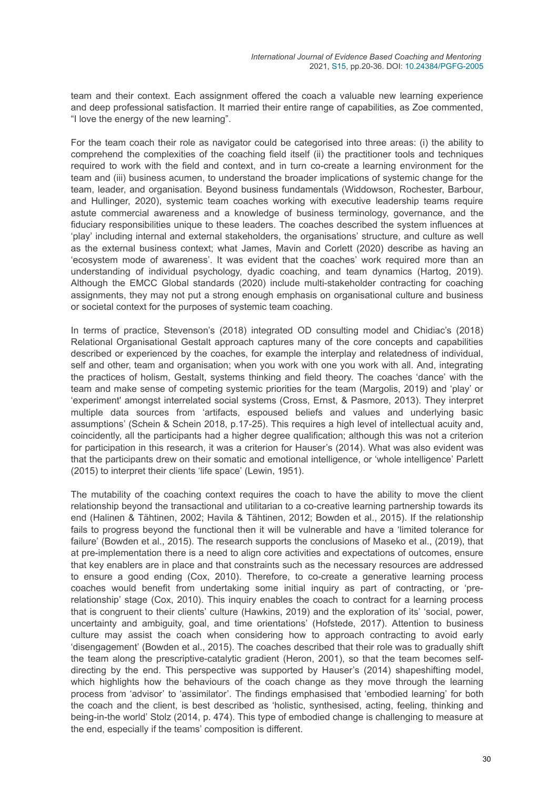team and their context. Each assignment offered the coach a valuable new learning experience and deep professional satisfaction. It married their entire range of capabilities, as Zoe commented, "I love the energy of the new learning".

For the team coach their role as navigator could be categorised into three areas: (i) the ability to comprehend the complexities of the coaching field itself (ii) the practitioner tools and techniques required to work with the field and context, and in turn co-create a learning environment for the team and (iii) business acumen, to understand the broader implications of systemic change for the team, leader, and organisation. Beyond business fundamentals (Widdowson, Rochester, Barbour, and Hullinger, 2020), systemic team coaches working with executive leadership teams require astute commercial awareness and a knowledge of business terminology, governance, and the fiduciary responsibilities unique to these leaders. The coaches described the system influences at 'play' including internal and external stakeholders, the organisations' structure, and culture as well as the external business context; what James, Mavin and Corlett (2020) describe as having an 'ecosystem mode of awareness'. It was evident that the coaches' work required more than an understanding of individual psychology, dyadic coaching, and team dynamics (Hartog, 2019). Although the EMCC Global standards (2020) include multi-stakeholder contracting for coaching assignments, they may not put a strong enough emphasis on organisational culture and business or societal context for the purposes of systemic team coaching.

In terms of practice, Stevenson's (2018) integrated OD consulting model and Chidiac's (2018) Relational Organisational Gestalt approach captures many of the core concepts and capabilities described or experienced by the coaches, for example the interplay and relatedness of individual, self and other, team and organisation; when you work with one you work with all. And, integrating the practices of holism, Gestalt, systems thinking and field theory. The coaches 'dance' with the team and make sense of competing systemic priorities for the team (Margolis, 2019) and 'play' or 'experiment' amongst interrelated social systems (Cross, Ernst, & Pasmore, 2013). They interpret multiple data sources from 'artifacts, espoused beliefs and values and underlying basic assumptions' (Schein & Schein 2018, p.17-25). This requires a high level of intellectual acuity and, coincidently, all the participants had a higher degree qualification; although this was not a criterion for participation in this research, it was a criterion for Hauser's (2014). What was also evident was that the participants drew on their somatic and emotional intelligence, or 'whole intelligence' Parlett (2015) to interpret their clients 'life space' (Lewin, 1951).

The mutability of the coaching context requires the coach to have the ability to move the client relationship beyond the transactional and utilitarian to a co-creative learning partnership towards its end (Halinen & Tähtinen, 2002; Havila & Tähtinen, 2012; Bowden et al., 2015). If the relationship fails to progress beyond the functional then it will be vulnerable and have a 'limited tolerance for failure' (Bowden et al., 2015). The research supports the conclusions of Maseko et al., (2019), that at pre-implementation there is a need to align core activities and expectations of outcomes, ensure that key enablers are in place and that constraints such as the necessary resources are addressed to ensure a good ending (Cox, 2010). Therefore, to co-create a generative learning process coaches would benefit from undertaking some initial inquiry as part of contracting, or 'prerelationship' stage (Cox, 2010). This inquiry enables the coach to contract for a learning process that is congruent to their clients' culture (Hawkins, 2019) and the exploration of its' 'social, power, uncertainty and ambiguity, goal, and time orientations' (Hofstede, 2017). Attention to business culture may assist the coach when considering how to approach contracting to avoid early 'disengagement' (Bowden et al., 2015). The coaches described that their role was to gradually shift the team along the prescriptive-catalytic gradient (Heron, 2001), so that the team becomes selfdirecting by the end. This perspective was supported by Hauser's (2014) shapeshifting model, which highlights how the behaviours of the coach change as they move through the learning process from 'advisor' to 'assimilator'. The findings emphasised that 'embodied learning' for both the coach and the client, is best described as 'holistic, synthesised, acting, feeling, thinking and being-in-the world' Stolz (2014, p. 474). This type of embodied change is challenging to measure at the end, especially if the teams' composition is different.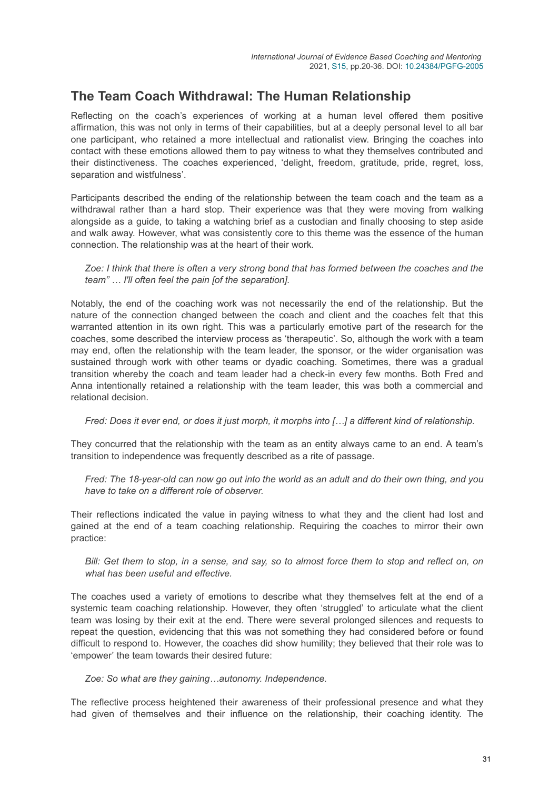### **The Team Coach Withdrawal: The Human Relationship**

Reflecting on the coach's experiences of working at a human level offered them positive affirmation, this was not only in terms of their capabilities, but at a deeply personal level to all bar one participant, who retained a more intellectual and rationalist view. Bringing the coaches into contact with these emotions allowed them to pay witness to what they themselves contributed and their distinctiveness. The coaches experienced, 'delight, freedom, gratitude, pride, regret, loss, separation and wistfulness'.

Participants described the ending of the relationship between the team coach and the team as a withdrawal rather than a hard stop. Their experience was that they were moving from walking alongside as a guide, to taking a watching brief as a custodian and finally choosing to step aside and walk away. However, what was consistently core to this theme was the essence of the human connection. The relationship was at the heart of their work.

*Zoe: I think that there is often a very strong bond that has formed between the coaches and the team" … I'll often feel the pain [of the separation].*

Notably, the end of the coaching work was not necessarily the end of the relationship. But the nature of the connection changed between the coach and client and the coaches felt that this warranted attention in its own right. This was a particularly emotive part of the research for the coaches, some described the interview process as 'therapeutic'. So, although the work with a team may end, often the relationship with the team leader, the sponsor, or the wider organisation was sustained through work with other teams or dyadic coaching. Sometimes, there was a gradual transition whereby the coach and team leader had a check-in every few months. Both Fred and Anna intentionally retained a relationship with the team leader, this was both a commercial and relational decision.

*Fred: Does it ever end, or does it just morph, it morphs into […] a different kind of relationship.*

They concurred that the relationship with the team as an entity always came to an end. A team's transition to independence was frequently described as a rite of passage.

*Fred: The 18-year-old can now go out into the world as an adult and do their own thing, and you have to take on a different role of observer.*

Their reflections indicated the value in paying witness to what they and the client had lost and gained at the end of a team coaching relationship. Requiring the coaches to mirror their own practice:

*Bill: Get them to stop, in a sense, and say, so to almost force them to stop and reflect on, on what has been useful and effective.*

The coaches used a variety of emotions to describe what they themselves felt at the end of a systemic team coaching relationship. However, they often 'struggled' to articulate what the client team was losing by their exit at the end. There were several prolonged silences and requests to repeat the question, evidencing that this was not something they had considered before or found difficult to respond to. However, the coaches did show humility; they believed that their role was to 'empower' the team towards their desired future:

#### *Zoe: So what are they gaining…autonomy. Independence.*

The reflective process heightened their awareness of their professional presence and what they had given of themselves and their influence on the relationship, their coaching identity. The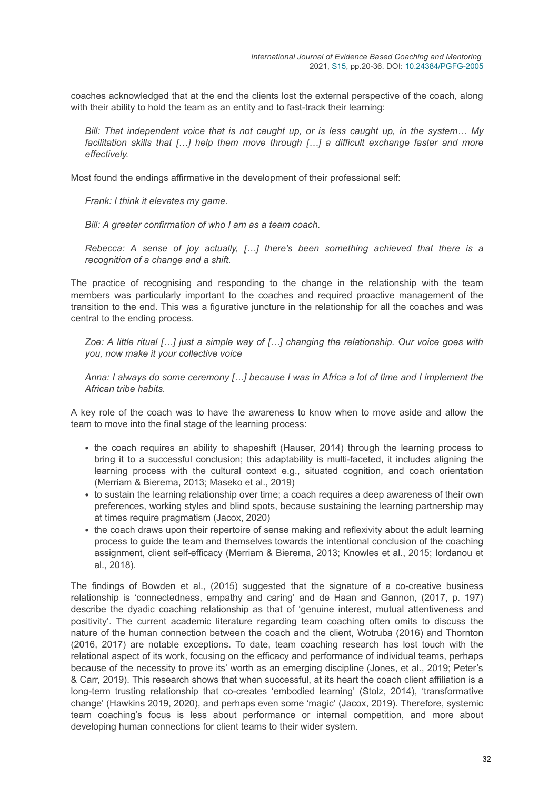coaches acknowledged that at the end the clients lost the external perspective of the coach, along with their ability to hold the team as an entity and to fast-track their learning:

*Bill: That independent voice that is not caught up, or is less caught up, in the system… My facilitation skills that […] help them move through […] a difficult exchange faster and more effectively.*

Most found the endings affirmative in the development of their professional self:

*Frank: I think it elevates my game.*

*Bill: A greater confirmation of who I am as a team coach.*

*Rebecca: A sense of joy actually, […] there's been something achieved that there is a recognition of a change and a shift.*

The practice of recognising and responding to the change in the relationship with the team members was particularly important to the coaches and required proactive management of the transition to the end. This was a figurative juncture in the relationship for all the coaches and was central to the ending process.

*Zoe: A little ritual […] just a simple way of […] changing the relationship. Our voice goes with you, now make it your collective voice*

*Anna: I always do some ceremony […] because I was in Africa a lot of time and I implement the African tribe habits.*

A key role of the coach was to have the awareness to know when to move aside and allow the team to move into the final stage of the learning process:

- the coach requires an ability to shapeshift (Hauser, 2014) through the learning process to bring it to a successful conclusion; this adaptability is multi-faceted, it includes aligning the learning process with the cultural context e.g., situated cognition, and coach orientation (Merriam & Bierema, 2013; Maseko et al., 2019)
- to sustain the learning relationship over time; a coach requires a deep awareness of their own preferences, working styles and blind spots, because sustaining the learning partnership may at times require pragmatism (Jacox, 2020)
- the coach draws upon their repertoire of sense making and reflexivity about the adult learning process to guide the team and themselves towards the intentional conclusion of the coaching assignment, client self-efficacy (Merriam & Bierema, 2013; Knowles et al., 2015; Iordanou et al., 2018).

The findings of Bowden et al., (2015) suggested that the signature of a co-creative business relationship is 'connectedness, empathy and caring' and de Haan and Gannon, (2017, p. 197) describe the dyadic coaching relationship as that of 'genuine interest, mutual attentiveness and positivity'. The current academic literature regarding team coaching often omits to discuss the nature of the human connection between the coach and the client, Wotruba (2016) and Thornton (2016, 2017) are notable exceptions. To date, team coaching research has lost touch with the relational aspect of its work, focusing on the efficacy and performance of individual teams, perhaps because of the necessity to prove its' worth as an emerging discipline (Jones, et al., 2019; Peter's & Carr, 2019). This research shows that when successful, at its heart the coach client affiliation is a long-term trusting relationship that co-creates 'embodied learning' (Stolz, 2014), 'transformative change' (Hawkins 2019, 2020), and perhaps even some 'magic' (Jacox, 2019). Therefore, systemic team coaching's focus is less about performance or internal competition, and more about developing human connections for client teams to their wider system.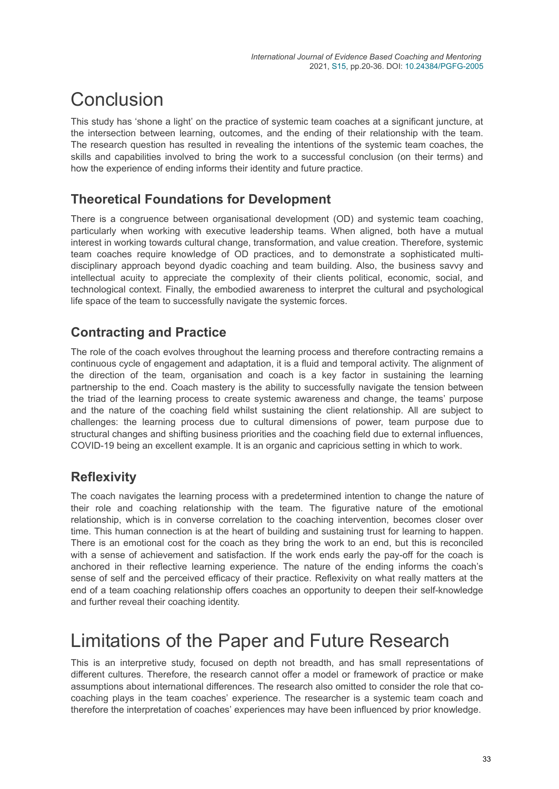# **Conclusion**

This study has 'shone a light' on the practice of systemic team coaches at a significant juncture, at the intersection between learning, outcomes, and the ending of their relationship with the team. The research question has resulted in revealing the intentions of the systemic team coaches, the skills and capabilities involved to bring the work to a successful conclusion (on their terms) and how the experience of ending informs their identity and future practice.

### **Theoretical Foundations for Development**

There is a congruence between organisational development (OD) and systemic team coaching, particularly when working with executive leadership teams. When aligned, both have a mutual interest in working towards cultural change, transformation, and value creation. Therefore, systemic team coaches require knowledge of OD practices, and to demonstrate a sophisticated multidisciplinary approach beyond dyadic coaching and team building. Also, the business savvy and intellectual acuity to appreciate the complexity of their clients political, economic, social, and technological context. Finally, the embodied awareness to interpret the cultural and psychological life space of the team to successfully navigate the systemic forces.

## **Contracting and Practice**

The role of the coach evolves throughout the learning process and therefore contracting remains a continuous cycle of engagement and adaptation, it is a fluid and temporal activity. The alignment of the direction of the team, organisation and coach is a key factor in sustaining the learning partnership to the end. Coach mastery is the ability to successfully navigate the tension between the triad of the learning process to create systemic awareness and change, the teams' purpose and the nature of the coaching field whilst sustaining the client relationship. All are subject to challenges: the learning process due to cultural dimensions of power, team purpose due to structural changes and shifting business priorities and the coaching field due to external influences, COVID-19 being an excellent example. It is an organic and capricious setting in which to work.

## **Reflexivity**

The coach navigates the learning process with a predetermined intention to change the nature of their role and coaching relationship with the team. The figurative nature of the emotional relationship, which is in converse correlation to the coaching intervention, becomes closer over time. This human connection is at the heart of building and sustaining trust for learning to happen. There is an emotional cost for the coach as they bring the work to an end, but this is reconciled with a sense of achievement and satisfaction. If the work ends early the pay-off for the coach is anchored in their reflective learning experience. The nature of the ending informs the coach's sense of self and the perceived efficacy of their practice. Reflexivity on what really matters at the end of a team coaching relationship offers coaches an opportunity to deepen their self-knowledge and further reveal their coaching identity.

## Limitations of the Paper and Future Research

This is an interpretive study, focused on depth not breadth, and has small representations of different cultures. Therefore, the research cannot offer a model or framework of practice or make assumptions about international differences. The research also omitted to consider the role that cocoaching plays in the team coaches' experience. The researcher is a systemic team coach and therefore the interpretation of coaches' experiences may have been influenced by prior knowledge.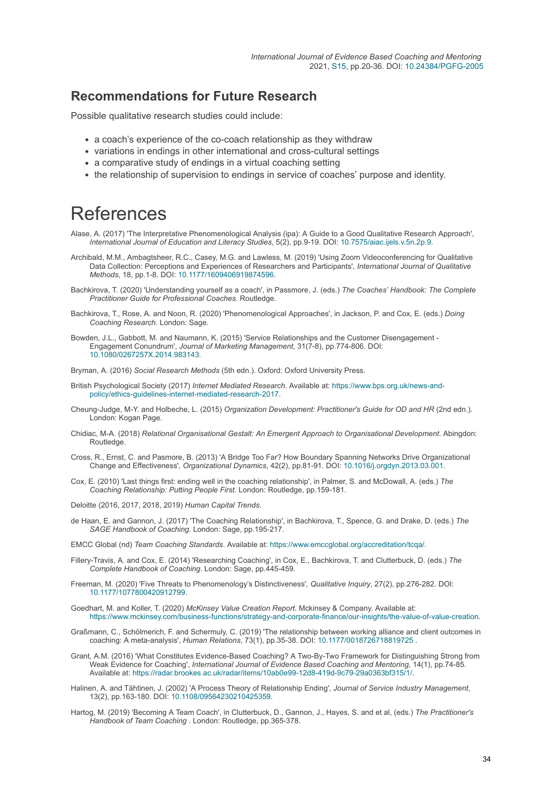### **Recommendations for Future Research**

Possible qualitative research studies could include:

- a coach's experience of the co-coach relationship as they withdraw
- variations in endings in other international and cross-cultural settings
- a comparative study of endings in a virtual coaching setting
- the relationship of supervision to endings in service of coaches' purpose and identity.

## References

- Alase, A. (2017) 'The Interpretative Phenomenological Analysis (ipa): A Guide to a Good Qualitative Research Approach', *International Journal of Education and Literacy Studies*, 5(2), pp.9-19. DOI: [10.7575/aiac.ijels.v.5n.2p.9](https://doi.org/10.7575/aiac.ijels.v.5n.2p.9).
- Archibald, M.M., Ambagtsheer, R.C., Casey, M.G. and Lawless, M. (2019) 'Using Zoom Videoconferencing for Qualitative Data Collection: Perceptions and Experiences of Researchers and Participants', *International Journal of Qualitative Methods*, 18, pp.1-8. DOI: [10.1177/1609406919874596](https://doi.org/10.1177/1609406919874596).
- Bachkirova, T. (2020) 'Understanding yourself as a coach', in Passmore, J. (eds.) *The Coaches' Handbook: The Complete Practitioner Guide for Professional Coaches*. Routledge.
- Bachkirova, T., Rose, A. and Noon, R. (2020) 'Phenomenological Approaches', in Jackson, P. and Cox, E. (eds.) *Doing Coaching Research*. London: Sage.
- Bowden, J.L., Gabbott, M. and Naumann, K. (2015) 'Service Relationships and the Customer Disengagement Engagement Conundrum', *Journal of Marketing Management*, 31(7-8), pp.774-806. DOI: [10.1080/0267257X.2014.983143](https://doi.org/10.1080/0267257X.2014.983143).

Bryman, A. (2016) *Social Research Methods* (5th edn.). Oxford: Oxford University Press.

- British Psychological Society (2017) *Internet Mediated Research*. Available at: https://www.bps.org.uk/news-and[policy/ethics-guidelines-internet-mediated-research-2017.](https://www.bps.org.uk/news-and-policy/ethics-guidelines-internet-mediated-research-2017)
- Cheung-Judge, M-Y. and Holbeche, L. (2015) *Organization Development: Practitioner's Guide for OD and HR* (2nd edn.). London: Kogan Page.
- Chidiac, M-A. (2018) *Relational Organisational Gestalt: An Emergent Approach to Organisational Development*. Abingdon: Routledge.
- Cross, R., Ernst, C. and Pasmore, B. (2013) 'A Bridge Too Far? How Boundary Spanning Networks Drive Organizational Change and Effectiveness', *Organizational Dynamics*, 42(2), pp.81-91. DOI: [10.1016/j.orgdyn.2013.03.001](https://doi.org/10.1016/j.orgdyn.2013.03.001).
- Cox, E. (2010) 'Last things first: ending well in the coaching relationship', in Palmer, S. and McDowall, A. (eds.) *The Coaching Relationship: Putting People First*. London: Routledge, pp.159-181.

Deloitte (2016, 2017, 2018, 2019) *Human Capital Trends*.

de Haan, E. and Gannon, J. (2017) 'The Coaching Relationship', in Bachkirova, T., Spence, G. and Drake, D. (eds.) *The SAGE Handbook of Coaching*. London: Sage, pp.195-217.

EMCC Global (nd) *Team Coaching Standards*. Available at:<https://www.emccglobal.org/accreditation/tcqa/>.

- Fillery-Travis, A. and Cox, E. (2014) 'Researching Coaching', in Cox, E., Bachkirova, T. and Clutterbuck, D. (eds.) *The Complete Handbook of Coaching*. London: Sage, pp.445-459.
- Freeman, M. (2020) 'Five Threats to Phenomenology's Distinctiveness', *Qualitative Inquiry*, 27(2), pp.276-282. DOI: [10.1177/1077800420912799](https://doi.org/10.1177/1077800420912799).
- Goedhart, M. and Koller, T. (2020) *McKinsey Value Creation Report*. Mckinsey & Company. Available at: [https://www.mckinsey.com/business-functions/strategy-and-corporate-finance/our-insights/the-value-of-value-creation.](https://www.mckinsey.com/business-functions/strategy-and-corporate-finance/our-insights/the-value-of-value-creation)
- Graßmann, C., Schölmerich, F. and Schermuly, C. (2019) 'The relationship between working alliance and client outcomes in coaching: A meta-analysis', *Human Relations*, 73(1), pp.35-38. DOI: [10.1177/0018726718819725](https://doi.org/10.1177/0018726718819725) .
- Grant, A.M. (2016) 'What Constitutes Evidence-Based Coaching? A Two-By-Two Framework for Distinguishing Strong from Weak Evidence for Coaching', *International Journal of Evidence Based Coaching and Mentoring*, 14(1), pp.74-85. Available at:<https://radar.brookes.ac.uk/radar/items/10ab0e99-12d8-419d-9c79-29a0363bf315/1/>.
- Halinen, A. and Tähtinen, J. (2002) 'A Process Theory of Relationship Ending', *Journal of Service Industry Management*, 13(2), pp.163-180. DOI: [10.1108/09564230210425359](https://doi.org/10.1108/09564230210425359).
- Hartog, M. (2019) 'Becoming A Team Coach', in Clutterbuck, D., Gannon, J., Hayes, S. and et al, (eds.) *The Practitioner's Handbook of Team Coaching* . London: Routledge, pp.365-378.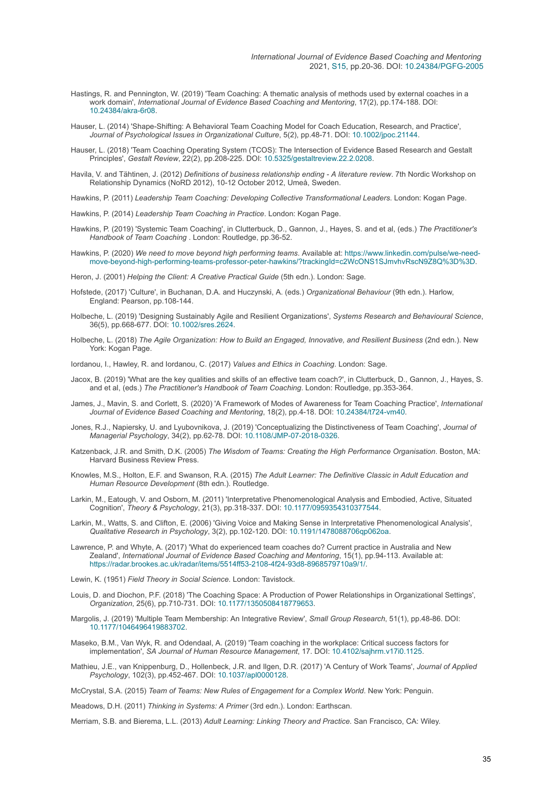- Hastings, R. and Pennington, W. (2019) 'Team Coaching: A thematic analysis of methods used by external coaches in a work domain', *International Journal of Evidence Based Coaching and Mentoring*, 17(2), pp.174-188. DOI: [10.24384/akra-6r08](https://doi.org/10.24384/akra-6r08).
- Hauser, L. (2014) 'Shape-Shifting: A Behavioral Team Coaching Model for Coach Education, Research, and Practice', *Journal of Psychological Issues in Organizational Culture*, 5(2), pp.48-71. DOI: [10.1002/jpoc.21144.](https://doi.org/10.1002/jpoc.21144)
- Hauser, L. (2018) 'Team Coaching Operating System (TCOS): The Intersection of Evidence Based Research and Gestalt Principles', *Gestalt Review*, 22(2), pp.208-225. DOI: [10.5325/gestaltreview.22.2.0208](https://doi.org/10.5325/gestaltreview.22.2.0208).
- Havila, V. and Tähtinen, J. (2012) *Definitions of business relationship ending A literature review*. 7th Nordic Workshop on Relationship Dynamics (NoRD 2012), 10-12 October 2012, Umeå, Sweden.
- Hawkins, P. (2011) *Leadership Team Coaching: Developing Collective Transformational Leaders*. London: Kogan Page.
- Hawkins, P. (2014) *Leadership Team Coaching in Practice*. London: Kogan Page.
- Hawkins, P. (2019) 'Systemic Team Coaching', in Clutterbuck, D., Gannon, J., Hayes, S. and et al, (eds.) *The Practitioner's Handbook of Team Coaching* . London: Routledge, pp.36-52.
- Hawkins, P. (2020) *We need to move beyond high performing teams*. Available at: https://www.linkedin.com/pulse/we-need[move-beyond-high-performing-teams-professor-peter-hawkins/?trackingId=c2WcONS1SJmvhvRscN9Z8Q%3D%3D.](https://www.linkedin.com/pulse/we-need-move-beyond-high-performing-teams-professor-peter-hawkins/?trackingId=c2WcONS1SJmvhvRscN9Z8Q%3D%3D)

Heron, J. (2001) *Helping the Client: A Creative Practical Guide* (5th edn.). London: Sage.

- Hofstede, (2017) 'Culture', in Buchanan, D.A. and Huczynski, A. (eds.) *Organizational Behaviour* (9th edn.). Harlow, England: Pearson, pp.108-144.
- Holbeche, L. (2019) 'Designing Sustainably Agile and Resilient Organizations', *Systems Research and Behavioural Science*, 36(5), pp.668-677. DOI: [10.1002/sres.2624](https://doi.org/10.1002/sres.2624).
- Holbeche, L. (2018) *The Agile Organization: How to Build an Engaged, Innovative, and Resilient Business* (2nd edn.). New York: Kogan Page.

Iordanou, I., Hawley, R. and Iordanou, C. (2017) *Values and Ethics in Coaching*. London: Sage.

- Jacox, B. (2019) 'What are the key qualities and skills of an effective team coach?', in Clutterbuck, D., Gannon, J., Hayes, S. and et al, (eds.) *The Practitioner's Handbook of Team Coaching*. London: Routledge, pp.353-364.
- James, J., Mavin, S. and Corlett, S. (2020) 'A Framework of Modes of Awareness for Team Coaching Practice', *International Journal of Evidence Based Coaching and Mentoring*, 18(2), pp.4-18. DOI: [10.24384/t724-vm40](https://doi.org/10.24384/t724-vm40).
- Jones, R.J., Napiersky, U. and Lyubovnikova, J. (2019) 'Conceptualizing the Distinctiveness of Team Coaching', *Journal of Managerial Psychology*, 34(2), pp.62-78. DOI: [10.1108/JMP-07-2018-0326](https://doi.org/10.1108/JMP-07-2018-0326).
- Katzenback, J.R. and Smith, D.K. (2005) *The Wisdom of Teams: Creating the High Performance Organisation*. Boston, MA: Harvard Business Review Press.
- Knowles, M.S., Holton, E.F. and Swanson, R.A. (2015) *The Adult Learner: The Definitive Classic in Adult Education and Human Resource Development* (8th edn.). Routledge.
- Larkin, M., Eatough, V. and Osborn, M. (2011) 'Interpretative Phenomenological Analysis and Embodied, Active, Situated Cognition', *Theory & Psychology*, 21(3), pp.318-337. DOI: [10.1177/0959354310377544.](https://doi.org/10.1177/0959354310377544)
- Larkin, M., Watts, S. and Clifton, E. (2006) 'Giving Voice and Making Sense in Interpretative Phenomenological Analysis', *Qualitative Research in Psychology*, 3(2), pp.102-120. DOI: [10.1191/1478088706qp062oa](https://doi.org/10.1191/1478088706qp062oa).
- Lawrence, P. and Whyte, A. (2017) 'What do experienced team coaches do? Current practice in Australia and New Zealand', *International Journal of Evidence Based Coaching and Mentoring*, 15(1), pp.94-113. Available at: <https://radar.brookes.ac.uk/radar/items/5514ff53-2108-4f24-93d8-8968579710a9/1/>.
- Lewin, K. (1951) *Field Theory in Social Science*. London: Tavistock.
- Louis, D. and Diochon, P.F. (2018) 'The Coaching Space: A Production of Power Relationships in Organizational Settings', *Organization*, 25(6), pp.710-731. DOI: [10.1177/1350508418779653.](https://doi.org/10.1177/1350508418779653)
- Margolis, J. (2019) 'Multiple Team Membership: An Integrative Review', *Small Group Research*, 51(1), pp.48-86. DOI: [10.1177/1046496419883702](https://doi.org/10.1177/1046496419883702).
- Maseko, B.M., Van Wyk, R. and Odendaal, A. (2019) 'Team coaching in the workplace: Critical success factors for implementation', *SA Journal of Human Resource Management*, 17. DOI: [10.4102/sajhrm.v17i0.1125](https://doi.org/10.4102/sajhrm.v17i0.1125).
- Mathieu, J.E., van Knippenburg, D., Hollenbeck, J.R. and Ilgen, D.R. (2017) 'A Century of Work Teams', *Journal of Applied Psychology*, 102(3), pp.452-467. DOI: [10.1037/apl0000128.](https://doi.org/10.1037/apl0000128)

McCrystal, S.A. (2015) *Team of Teams: New Rules of Engagement for a Complex World*. New York: Penguin.

Meadows, D.H. (2011) *Thinking in Systems: A Primer* (3rd edn.). London: Earthscan.

Merriam, S.B. and Bierema, L.L. (2013) *Adult Learning: Linking Theory and Practice*. San Francisco, CA: Wiley.